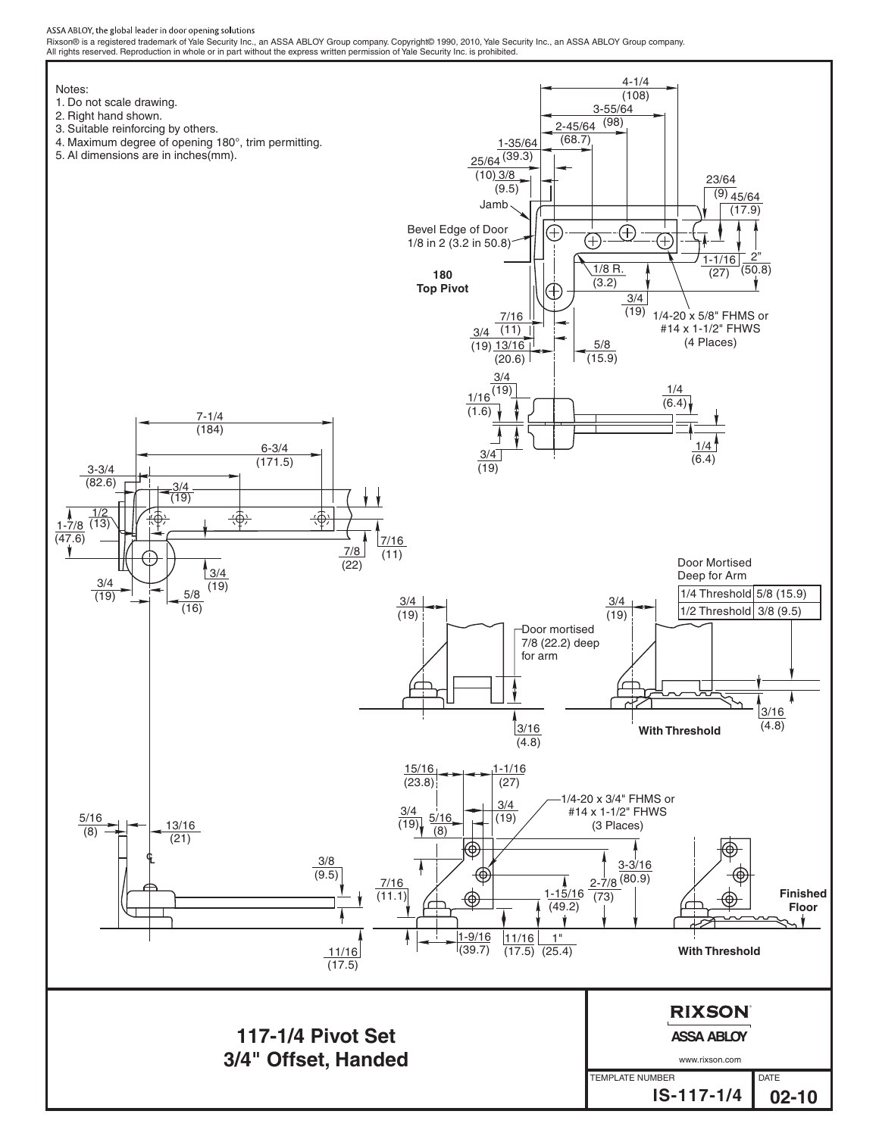ASSA ABLOY, the global leader in door opening solutions

Rixson® is a registered trademark of Yale Security Inc., an ASSA ABLOY Group company. Copyright© 1990, 2010, Yale Security Inc., an ASSA ABLOY Group company. All rights reserved. Reproduction in whole or in part without the express written permission of Yale Security Inc. is prohibited.